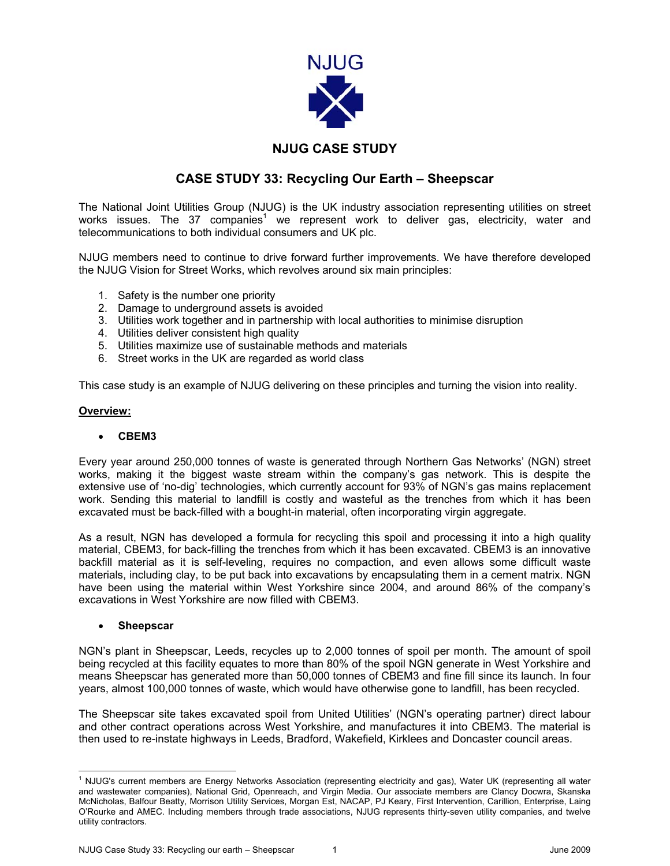

# **NJUG CASE STUDY**

# **CASE STUDY 33: Recycling Our Earth – Sheepscar**

The National Joint Utilities Group (NJUG) is the UK industry association representing utilities on street works issues. The 37 companies<sup>[1](#page-0-0)</sup> we represent work to deliver gas, electricity, water and telecommunications to both individual consumers and UK plc.

NJUG members need to continue to drive forward further improvements. We have therefore developed the NJUG Vision for Street Works, which revolves around six main principles:

- 1. Safety is the number one priority
- 2. Damage to underground assets is avoided
- 3. Utilities work together and in partnership with local authorities to minimise disruption
- 4. Utilities deliver consistent high quality
- 5. Utilities maximize use of sustainable methods and materials
- 6. Street works in the UK are regarded as world class

This case study is an example of NJUG delivering on these principles and turning the vision into reality.

## **Overview:**

## • **CBEM3**

Every year around 250,000 tonnes of waste is generated through Northern Gas Networks' (NGN) street works, making it the biggest waste stream within the company's gas network. This is despite the extensive use of 'no-dig' technologies, which currently account for 93% of NGN's gas mains replacement work. Sending this material to landfill is costly and wasteful as the trenches from which it has been excavated must be back-filled with a bought-in material, often incorporating virgin aggregate.

As a result, NGN has developed a formula for recycling this spoil and processing it into a high quality material, CBEM3, for back-filling the trenches from which it has been excavated. CBEM3 is an innovative backfill material as it is self-leveling, requires no compaction, and even allows some difficult waste materials, including clay, to be put back into excavations by encapsulating them in a cement matrix. NGN have been using the material within West Yorkshire since 2004, and around 86% of the company's excavations in West Yorkshire are now filled with CBEM3.

## • **Sheepscar**

NGN's plant in Sheepscar, Leeds, recycles up to 2,000 tonnes of spoil per month. The amount of spoil being recycled at this facility equates to more than 80% of the spoil NGN generate in West Yorkshire and means Sheepscar has generated more than 50,000 tonnes of CBEM3 and fine fill since its launch. In four years, almost 100,000 tonnes of waste, which would have otherwise gone to landfill, has been recycled.

The Sheepscar site takes excavated spoil from United Utilities' (NGN's operating partner) direct labour and other contract operations across West Yorkshire, and manufactures it into CBEM3. The material is then used to re-instate highways in Leeds, Bradford, Wakefield, Kirklees and Doncaster council areas.

<span id="page-0-0"></span> $\frac{1}{1}$  $1$  NJUG's current members are Energy Networks Association (representing electricity and gas), Water UK (representing all water and wastewater companies), National Grid, Openreach, and Virgin Media. Our associate members are Clancy Docwra, Skanska McNicholas, Balfour Beatty, Morrison Utility Services, Morgan Est, NACAP, PJ Keary, First Intervention, Carillion, Enterprise, Laing O'Rourke and AMEC. Including members through trade associations, NJUG represents thirty-seven utility companies, and twelve utility contractors.